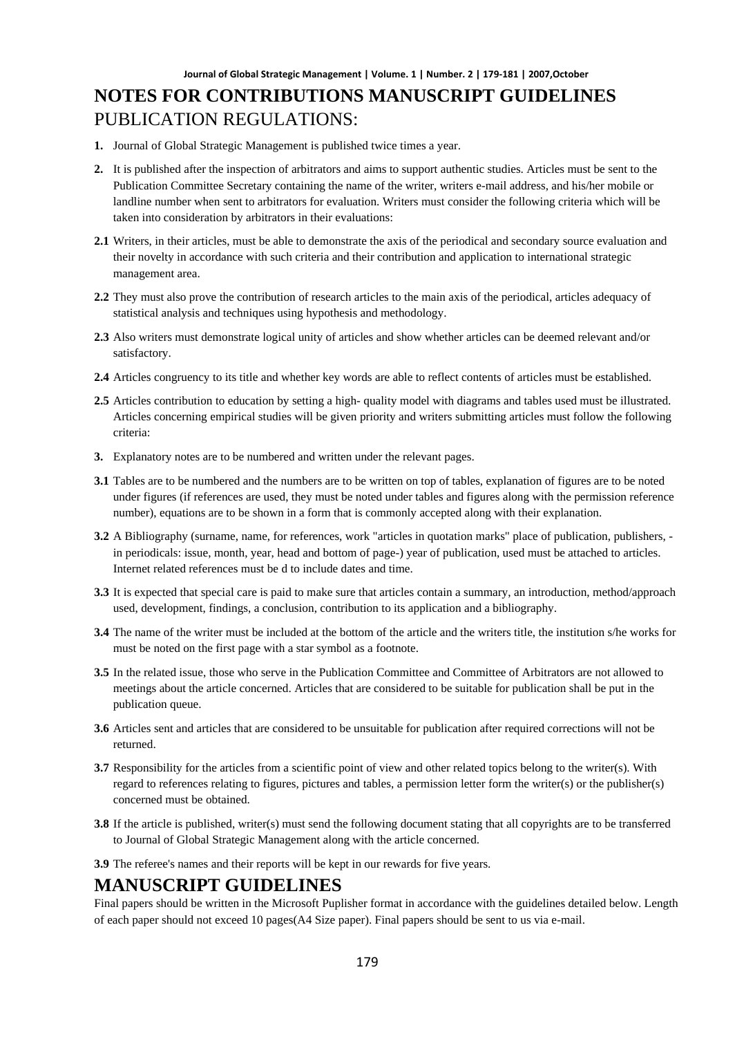- **1.** Journal of Global Strategic Management is published twice times a year.
- **2.** It is published after the inspection of arbitrators and aims to support authentic studies. Articles must be sent to the Publication Committee Secretary containing the name of the writer, writers e-mail address, and his/her mobile or landline number when sent to arbitrators for evaluation. Writers must consider the following criteria which will be taken into consideration by arbitrators in their evaluations:
- **2.1** Writers, in their articles, must be able to demonstrate the axis of the periodical and secondary source evaluation and their novelty in accordance with such criteria and their contribution and application to international strategic management area.
- **2.2** They must also prove the contribution of research articles to the main axis of the periodical, articles adequacy of statistical analysis and techniques using hypothesis and methodology.
- **2.3** Also writers must demonstrate logical unity of articles and show whether articles can be deemed relevant and/or satisfactory.
- **2.4** Articles congruency to its title and whether key words are able to reflect contents of articles must be established.
- **2.5** Articles contribution to education by setting a high- quality model with diagrams and tables used must be illustrated. Articles concerning empirical studies will be given priority and writers submitting articles must follow the following criteria:
- **3.** Explanatory notes are to be numbered and written under the relevant pages.
- **3.1** Tables are to be numbered and the numbers are to be written on top of tables, explanation of figures are to be noted under figures (if references are used, they must be noted under tables and figures along with the permission reference number), equations are to be shown in a form that is commonly accepted along with their explanation.
- **3.2** A Bibliography (surname, name, for references, work "articles in quotation marks" place of publication, publishers, in periodicals: issue, month, year, head and bottom of page-) year of publication, used must be attached to articles. Internet related references must be d to include dates and time.
- **3.3** It is expected that special care is paid to make sure that articles contain a summary, an introduction, method/approach used, development, findings, a conclusion, contribution to its application and a bibliography.
- **3.4** The name of the writer must be included at the bottom of the article and the writers title, the institution s/he works for must be noted on the first page with a star symbol as a footnote.
- **3.5** In the related issue, those who serve in the Publication Committee and Committee of Arbitrators are not allowed to meetings about the article concerned. Articles that are considered to be suitable for publication shall be put in the publication queue.
- **3.6** Articles sent and articles that are considered to be unsuitable for publication after required corrections will not be returned.
- **3.7** Responsibility for the articles from a scientific point of view and other related topics belong to the writer(s). With regard to references relating to figures, pictures and tables, a permission letter form the writer(s) or the publisher(s) concerned must be obtained.
- **3.8** If the article is published, writer(s) must send the following document stating that all copyrights are to be transferred to Journal of Global Strategic Management along with the article concerned.
- **3.9** The referee's names and their reports will be kept in our rewards for five years.

### **MANUSCRIPT GUIDELINES**

Final papers should be written in the Microsoft Puplisher format in accordance with the guidelines detailed below. Length of each paper should not exceed 10 pages(A4 Size paper). Final papers should be sent to us via e-mail.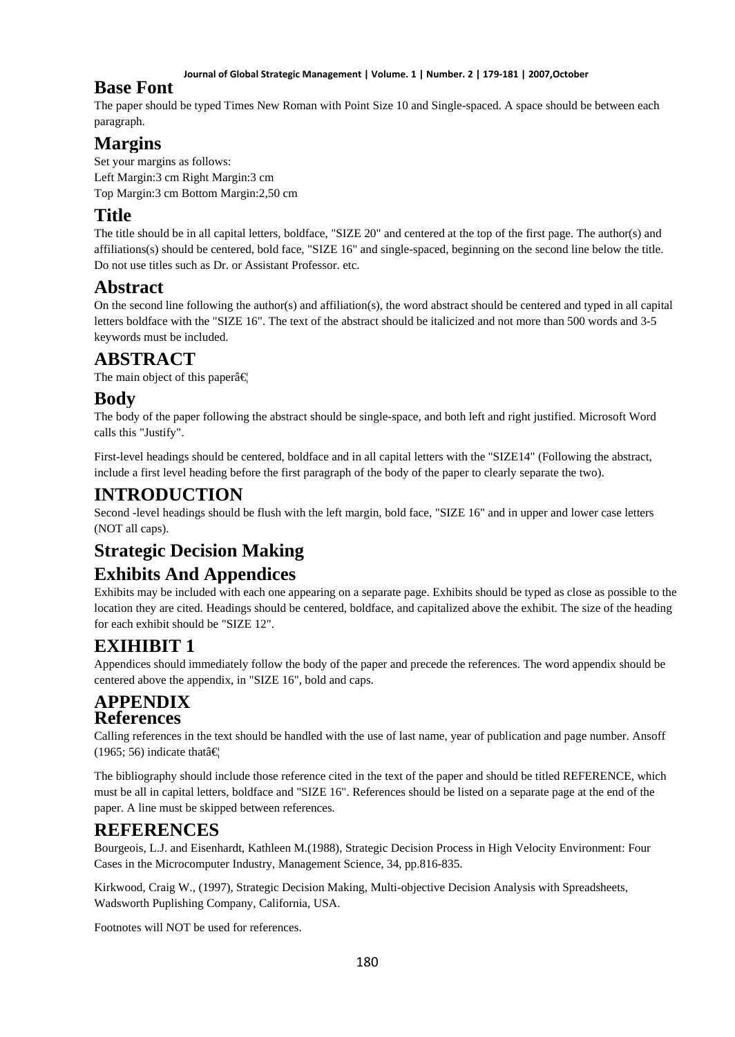#### **Journal of Global Strategic Management | Volume. 1 | Number. 2 | 179-181 | 2007,October**

### **Base Font**

The paper should be typed Times New Roman with Point Size 10 and Single-spaced. A space should be between each paragraph.

# **Margins**

Set your margins as follows: Left Margin:3 cm Right Margin:3 cm Top Margin:3 cm Bottom Margin:2,50 cm

# **Title**

The title should be in all capital letters, boldface, "SIZE 20" and centered at the top of the first page. The author(s) and affiliations(s) should be centered, bold face, "SIZE 16" and single-spaced, beginning on the second line below the title. Do not use titles such as Dr. or Assistant Professor. etc.

# **Abstract**

On the second line following the author(s) and affiliation(s), the word abstract should be centered and typed in all capital letters boldface with the "SIZE 16". The text of the abstract should be italicized and not more than 500 words and 3-5 keywords must be included.

# **ABSTRACT**

The main object of this paper $\hat{a} \in \mathbb{R}$ 

## **Body**

The body of the paper following the abstract should be single-space, and both left and right justified. Microsoft Word calls this "Justify".

First-level headings should be centered, boldface and in all capital letters with the "SIZE14" (Following the abstract, include a first level heading before the first paragraph of the body of the paper to clearly separate the two).

## **INTRODUCTION**

Second -level headings should be flush with the left margin, bold face, "SIZE 16" and in upper and lower case letters (NOT all caps).

# **Strategic Decision Making**

# **Exhibits And Appendices**

Exhibits may be included with each one appearing on a separate page. Exhibits should be typed as close as possible to the location they are cited. Headings should be centered, boldface, and capitalized above the exhibit. The size of the heading for each exhibit should be "SIZE 12".

# **EXIHIBIT 1**

Appendices should immediately follow the body of the paper and precede the references. The word appendix should be centered above the appendix, in "SIZE 16", bold and caps.

### **APPENDIX References**

Calling references in the text should be handled with the use of last name, year of publication and page number. Ansoff (1965; 56) indicate that  $\hat{\mathbf{\epsilon}}$ 

The bibliography should include those reference cited in the text of the paper and should be titled REFERENCE, which must be all in capital letters, boldface and "SIZE 16". References should be listed on a separate page at the end of the paper. A line must be skipped between references.

# **REFERENCES**

Bourgeois, L.J. and Eisenhardt, Kathleen M.(1988), Strategic Decision Process in High Velocity Environment: Four Cases in the Microcomputer Industry, Management Science, 34, pp.816-835.

Kirkwood, Craig W., (1997), Strategic Decision Making, Multi-objective Decision Analysis with Spreadsheets, Wadsworth Puplishing Company, California, USA.

Footnotes will NOT be used for references.